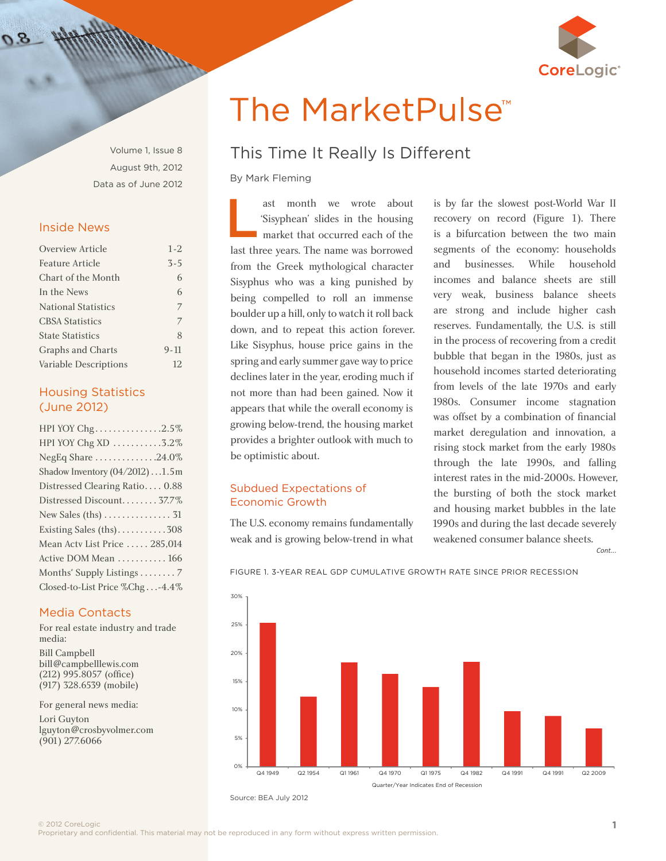

Volume 1, Issue 8 August 9th, 2012 Data as of June 2012

### Inside News

| Overview Article           | $1 - 2$  |
|----------------------------|----------|
| Feature Article            | $3 - 5$  |
| Chart of the Month         | 6        |
| In the News                | 6        |
| <b>National Statistics</b> | 7        |
| <b>CBSA Statistics</b>     | 7        |
| <b>State Statistics</b>    | 8        |
| <b>Graphs and Charts</b>   | $9 - 11$ |
| Variable Descriptions      | 12.      |

### Housing Statistics (June 2012)

| HPI YOY Chg2.5%                          |
|------------------------------------------|
| HPI YOY Chg XD 3.2%                      |
| NegEq Share 24.0%                        |
| Shadow Inventory $(04/2012) \dots 1.5$ m |
| Distressed Clearing Ratio 0.88           |
| Distressed Discount 37.7%                |
|                                          |
| Existing Sales (ths)308                  |
| Mean Actv List Price  285,014            |
| Active DOM Mean  166                     |
| Months' Supply Listings 7                |
| Closed-to-List Price %Chg-4.4%           |

### Media Contacts

For real estate industry and trade media: Bill Campbell [bill@campbelllewis.com](mailto:bill%40campbelllewis.com?subject=) 

(212) 995.8057 (office) (917) 328.6539 (mobile)

For general news media:

Lori Guyton [lguyton@crosbyvolmer.com](mailto:lguyton%40crosbyvolmer.com?subject=) (901) 277.6066

# The MarketPulse<sup>™</sup>

# This Time It Really Is Different

By Mark Fleming

ast month we wrote about 'Sisyphean' slides in the housing **market that occurred each of the** last three years. The name was borrowed from the Greek mythological character Sisyphus who was a king punished by being compelled to roll an immense boulder up a hill, only to watch it roll back down, and to repeat this action forever. Like Sisyphus, house price gains in the spring and early summer gave way to price declines later in the year, eroding much if not more than had been gained. Now it appears that while the overall economy is growing below-trend, the housing market provides a brighter outlook with much to be optimistic about. L

### Subdued Expectations of Economic Growth

The U.S. economy remains fundamentally weak and is growing below-trend in what

is by far the slowest post-World War II recovery on record (Figure 1). There is a bifurcation between the two main segments of the economy: households and businesses. While household incomes and balance sheets are still very weak, business balance sheets are strong and include higher cash reserves. Fundamentally, the U.S. is still in the process of recovering from a credit bubble that began in the 1980s, just as household incomes started deteriorating from levels of the late 1970s and early 1980s. Consumer income stagnation was offset by a combination of financial market deregulation and innovation, a rising stock market from the early 1980s through the late 1990s, and falling be optimistic about.<br>
through the late 1990s, and falling<br>
interest rates in the mid-2000s. However, the bursting of both the stock market and housing market bubbles in the late 1990s and during the last decade severely weakened consumer balance sheets.

0% 5% 10% 15% 20% 25% 30% Q4 1949 Q2 1954 Q1 1961 Q4 1970 Q1 1975 Q4 1982 Q4 1991 Q4 1991 Q2 2009 Quarter/Year Indicates End of Recession

Figure 1. 3-year real gdp cumulative growth rate since prior recession

Source: BEA July 2012

© 2012 CoreLogic<br>Proprietary and confidential. This material may not be reproduced in any form without express written permission.

*Cont...*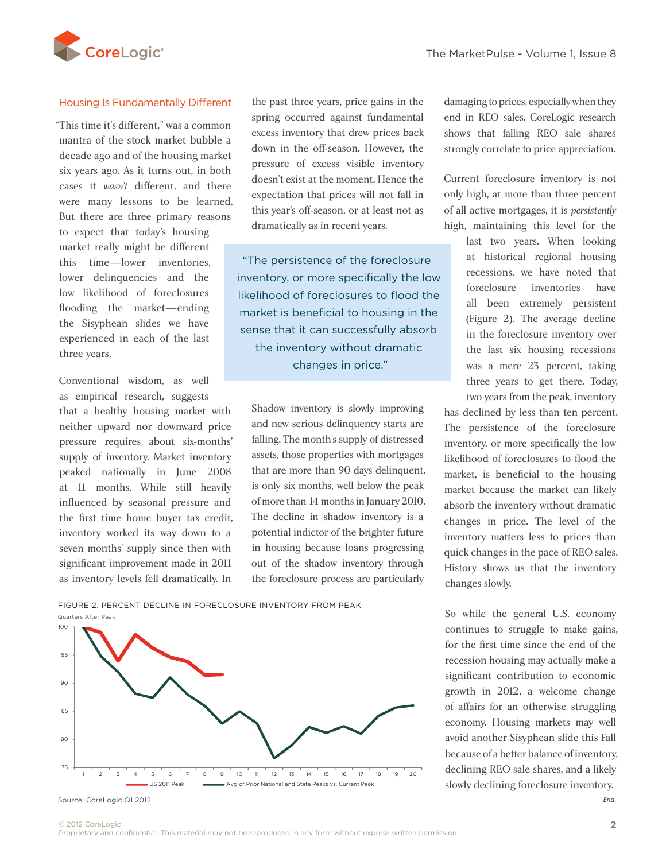

### Housing Is Fundamentally Different

"This time it's different," was a common mantra of the stock market bubble a decade ago and of the housing market six years ago. As it turns out, in both cases it *wasn't* different, and there were many lessons to be learned. But there are three primary reasons to expect that today's housing market really might be different this time—lower inventories, lower delinquencies and the low likelihood of foreclosures flooding the market—ending the Sisyphean slides we have experienced in each of the last three years.

Conventional wisdom, as well as empirical research, suggests

that a healthy housing market with neither upward nor downward price pressure requires about six-months' supply of inventory. Market inventory peaked nationally in June 2008 at 11 months. While still heavily influenced by seasonal pressure and the first time home buyer tax credit, inventory worked its way down to a seven months' supply since then with significant improvement made in 2011 as inventory levels fell dramatically. In

the past three years, price gains in the spring occurred against fundamental excess inventory that drew prices back down in the off-season. However, the pressure of excess visible inventory doesn't exist at the moment. Hence the expectation that prices will not fall in this year's off-season, or at least not as dramatically as in recent years.

"The persistence of the foreclosure inventory, or more specifically the low likelihood of foreclosures to flood the market is beneficial to housing in the sense that it can successfully absorb the inventory without dramatic changes in price."

Shadow inventory is slowly improving and new serious delinquency starts are falling. The month's supply of distressed assets, those properties with mortgages that are more than 90 days delinquent, is only six months, well below the peak of more than 14 months in January 2010. The decline in shadow inventory is a potential indictor of the brighter future in housing because loans progressing out of the shadow inventory through the foreclosure process are particularly Fraction at 11 months. While still heavily is only six months, well below the peak influenced by second process and of more than 14 months in January 2010

damaging to prices, especially when they end in REO sales. CoreLogic research shows that falling REO sale shares strongly correlate to price appreciation.

Current foreclosure inventory is not only high, at more than three percent of all active mortgages, it is *persistently* high, maintaining this level for the

> last two years. When looking at historical regional housing recessions, we have noted that foreclosure inventories have all been extremely persistent (Figure 2). The average decline in the foreclosure inventory over the last six housing recessions was a mere 23 percent, taking three years to get there. Today, two years from the peak, inventory

has declined by less than ten percent. The persistence of the foreclosure inventory, or more specifically the low likelihood of foreclosures to flood the market, is beneficial to the housing market because the market can likely absorb the inventory without dramatic changes in price. The level of the inventory matters less to prices than quick changes in the pace of REO sales. History shows us that the inventory changes slowly.

So while the general U.S. economy continues to struggle to make gains, for the first time since the end of the recession housing may actually make a significant contribution to economic growth in 2012, a welcome change of affairs for an otherwise struggling economy. Housing markets may well avoid another Sisyphean slide this Fall because of a better balance of inventory, declining REO sale shares, and a likely slowly declining foreclosure inventory. *End.*

Figure 2. Percent decline in foreclosure inventory from peak Quarters After Peak



Source: CoreLogic Q1 2012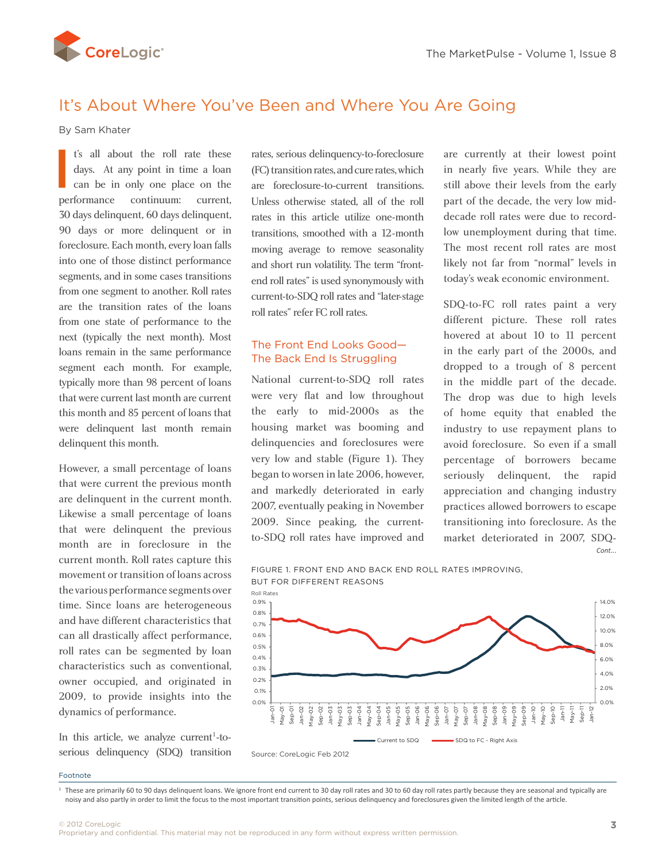<span id="page-2-0"></span>

# It's About Where You've Been and Where You Are Going

By Sam Khater

t's all about the roll rate these days. At any point in time a loan can be in only one place on the performance continuum: current, 30 days delinquent, 60 days delinquent, 90 days or more delinquent or in foreclosure. Each month, every loan falls into one of those distinct performance segments, and in some cases transitions from one segment to another. Roll rates are the transition rates of the loans from one state of performance to the next (typically the next month). Most loans remain in the same performance segment each month. For example, typically more than 98 percent of loans that were current last month are current this month and 85 percent of loans that were delinquent last month remain delinquent this month. I

However, a small percentage of loans that were current the previous month are delinquent in the current month. Likewise a small percentage of loans that were delinquent the previous month are in foreclosure in the current month. Roll rates capture this movement or transition of loans across the various performance segments over time. Since loans are heterogeneous and have different characteristics that can all drastically affect performance, roll rates can be segmented by loan characteristics such as conventional, owner occupied, and originated in 2009, to provide insights into the dynamics of performance.

In this article, we analyze current<sup>1</sup>-toserious delinquency (SDQ) transition

rates, serious delinquency-to-foreclosure (FC) transition rates, and cure rates, which are foreclosure-to-current transitions. Unless otherwise stated, all of the roll rates in this article utilize one-month transitions, smoothed with a 12-month moving average to remove seasonality and short run volatility. The term "frontend roll rates" is used synonymously with current-to-SDQ roll rates and "later-stage roll rates" refer FC roll rates.

### The Front End Looks Good— The Back End Is Struggling

National current-to-SDQ roll rates were very flat and low throughout the early to mid-2000s as the housing market was booming and delinquencies and foreclosures were very low and stable (Figure 1). They began to worsen in late 2006, however, and markedly deteriorated in early 2007, eventually peaking in November 2009. Since peaking, the currentto-SDQ roll rates have improved and th. delinquencies and foreclosures were avoid foreclosure. So even if a small<br>very low and stable (Figure 1). They percentage of borrowers became

are currently at their lowest point in nearly five years. While they are still above their levels from the early part of the decade, the very low middecade roll rates were due to recordlow unemployment during that time. The most recent roll rates are most likely not far from "normal" levels in today's weak economic environment.

SDQ-to-FC roll rates paint a very different picture. These roll rates hovered at about 10 to 11 percent in the early part of the 2000s, and dropped to a trough of 8 percent in the middle part of the decade. The drop was due to high levels of home equity that enabled the industry to use repayment plans to avoid foreclosure. So even if a small seriously delinquent, the rapid appreciation and changing industry practices allowed borrowers to escape transitioning into foreclosure. As the market deteriorated in 2007, SDQ-*Cont...*

Figure 1. Front End and back end Roll Rates Improving, but for different reasons



Footnote

<sup>&</sup>lt;sup>1</sup> These are primarily 60 to 90 days delinquent loans. We ignore front end current to 30 day roll rates and 30 to 60 day roll rates partly because they are seasonal and typically are noisy and also partly in order to limit the focus to the most important transition points, serious delinquency and foreclosures given the limited length of the article.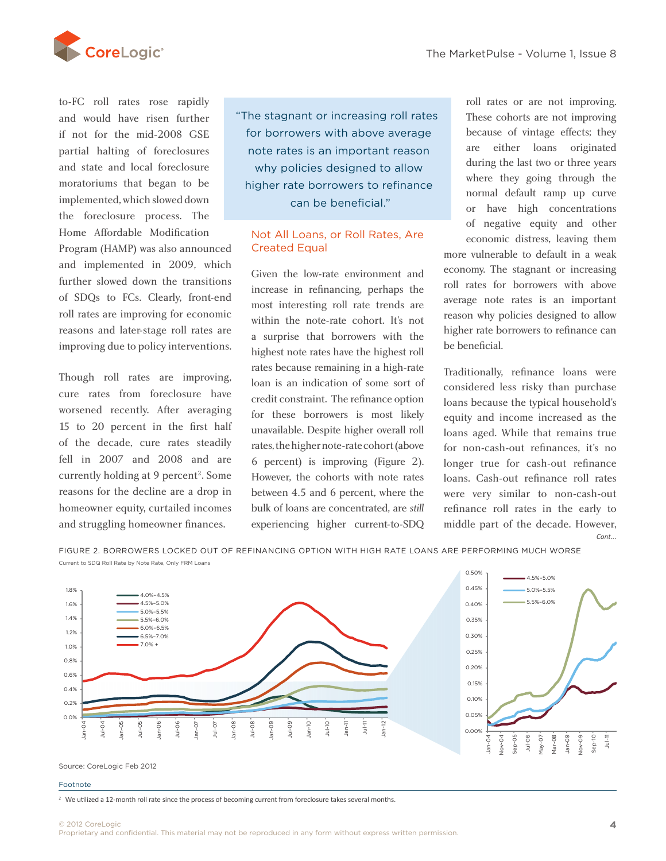

to-FC roll rates rose rapidly and would have risen further if not for the mid-2008 GSE partial halting of foreclosures and state and local foreclosure moratoriums that began to be implemented, which slowed down the foreclosure process. The Home Affordable Modification

Program (HAMP) was also announced and implemented in 2009, which further slowed down the transitions of SDQs to FCs. Clearly, front-end roll rates are improving for economic reasons and later-stage roll rates are improving due to policy interventions.

Though roll rates are improving, cure rates from foreclosure have worsened recently. After averaging 15 to 20 percent in the first half of the decade, cure rates steadily fell in 2007 and 2008 and are currently holding at 9 percent<sup>2</sup>. Some reasons for the decline are a drop in homeowner equity, curtailed incomes and struggling homeowner finances.

"The stagnant or increasing roll rates for borrowers with above average note rates is an important reason why policies designed to allow higher rate borrowers to refinance can be beneficial."

### Not All Loans, or Roll Rates, Are Created Equal

Given the low-rate environment and increase in refinancing, perhaps the most interesting roll rate trends are within the note-rate cohort. It's not a surprise that borrowers with the highest note rates have the highest roll rates because remaining in a high-rate loan is an indication of some sort of credit constraint. The refinance option for these borrowers is most likely worsened recently. After averaging for these borrowers is most likely equity and income increased as the unavailable. Despite higher overall roll loans aged. While that remains true rates, the higher note-rate cohort (above 6 percent) is improving (Figure 2). However, the cohorts with note rates between 4.5 and 6 percent, where the bulk of loans are concentrated, are *still*  experiencing higher current-to-SDQ mgner note-rate cond<br>nt) is improving (Fi

roll rates or are not improving. These cohorts are not improving because of vintage effects; they are either loans originated during the last two or three years where they going through the normal default ramp up curve or have high concentrations of negative equity and other economic distress, leaving them

more vulnerable to default in a weak economy. The stagnant or increasing roll rates for borrowers with above average note rates is an important reason why policies designed to allow higher rate borrowers to refinance can be beneficial.

Traditionally, refinance loans were considered less risky than purchase loans because the typical household's equity and income increased as the loans aged. While that remains true for non-cash-out refinances, it's no longer true for cash-out refinance loans. Cash-out refinance roll rates were very similar to non-cash-out refinance roll rates in the early to middle part of the decade. However, *Cont...*

Figure 2. Borrowers locked out of refinancing option with high rate loans are performing much worse



Source: CoreLogic Feb 2012

#### Footnote

<sup>2</sup> We utilized a 12-month roll rate since the process of becoming current from foreclosure takes several months.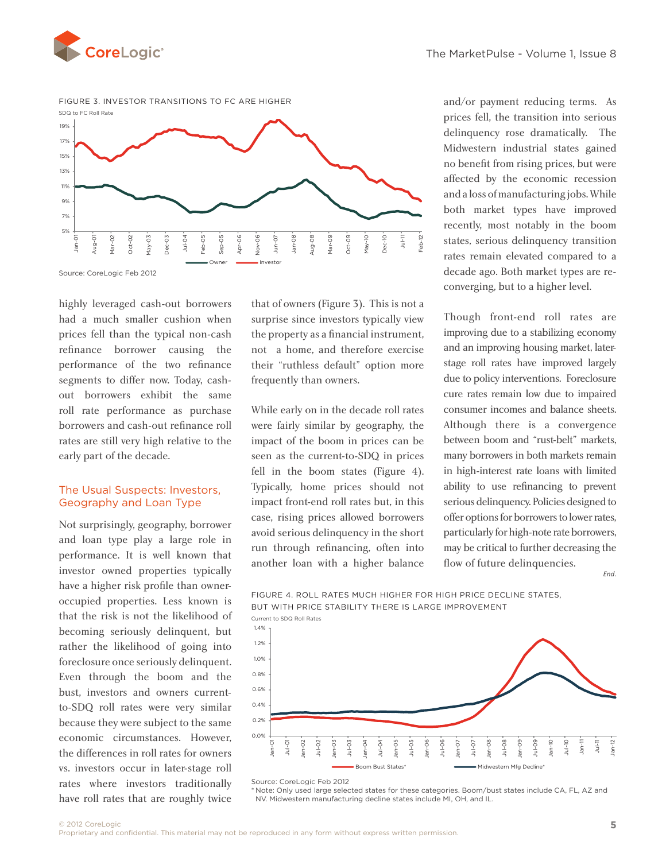



Source: CoreLogic Feb 2012

highly leveraged cash-out borrowers had a much smaller cushion when prices fell than the typical non-cash refinance borrower causing the performance of the two refinance segments to differ now. Today, cashout borrowers exhibit the same roll rate performance as purchase borrowers and cash-out refinance roll rates are still very high relative to the early part of the decade.

### The Usual Suspects: Investors, Geography and Loan Type

Not surprisingly, geography, borrower and loan type play a large role in performance. It is well known that investor owned properties typically have a higher risk profile than owneroccupied properties. Less known is that the risk is not the likelihood of becoming seriously delinquent, but rather the likelihood of going into foreclosure once seriously delinquent. Even through the boom and the bust, investors and owners currentto-SDQ roll rates were very similar because they were subject to the same economic circumstances. However, the differences in roll rates for owners vs. investors occur in later-stage roll rates where investors traditionally have roll rates that are roughly twice

that of owners (Figure 3). This is not a surprise since investors typically view the property as a financial instrument, not a home, and therefore exercise their "ruthless default" option more frequently than owners.

While early on in the decade roll rates were fairly similar by geography, the impact of the boom in prices can be seen as the current-to-SDQ in prices fell in the boom states (Figure 4). In high-interest rate loans with limited<br>spects: Investors. Typically, home prices should not ability to use refinancing to prevent Typically, home prices should not impact front-end roll rates but, in this case, rising prices allowed borrowers avoid serious delinquency in the short run through refinancing, often into another loan with a higher balance

and/or payment reducing terms. As prices fell, the transition into serious delinquency rose dramatically. The Midwestern industrial states gained no benefit from rising prices, but were affected by the economic recession and a loss of manufacturing jobs. While both market types have improved recently, most notably in the boom states, serious delinquency transition rates remain elevated compared to a decade ago. Both market types are reconverging, but to a higher level.

Though front-end roll rates are improving due to a stabilizing economy and an improving housing market, laterstage roll rates have improved largely due to policy interventions. Foreclosure cure rates remain low due to impaired consumer incomes and balance sheets. Although there is a convergence between boom and "rust-belt" markets, many borrowers in both markets remain in high-interest rate loans with limited ability to use refinancing to prevent serious delinquency. Policies designed to offer options for borrowers to lower rates, particularly for high-note rate borrowers, may be critical to further decreasing the flow of future delinquencies.

*End.*





Source: CoreLogic Feb 2012

\* Note: Only used large selected states for these categories. Boom/bust states include CA, FL, AZ and NV. Midwestern manufacturing decline states include MI, OH, and IL.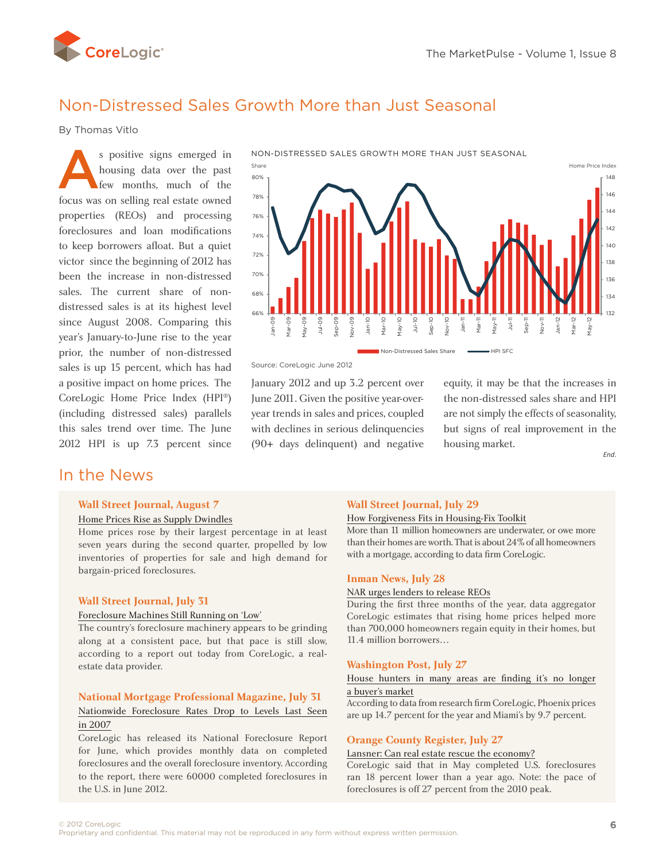<span id="page-5-0"></span>

# Non-Distressed Sales Growth More than Just Seasonal

By Thomas Vitlo

s positive signs emerged in<br>housing data over the past<br>few months, much of the<br>focus was on selling roal otate owned housing data over the past few months, much of the focus was on selling real estate owned properties (REOs) and processing foreclosures and loan modifications to keep borrowers afloat. But a quiet victor since the beginning of 2012 has been the increase in non-distressed sales. The current share of nondistressed sales is at its highest level since August 2008. Comparing this year's January-to-June rise to the year prior, the number of non-distressed sales is up 15 percent, which has had a positive impact on home prices. The CoreLogic Home Price Index (HPI®) (including distressed sales) parallels this sales trend over time. The June 2012 HPI is up 7.3 percent since

## In the News

#### **Wall Street Journal, August 7**

#### [Home Prices Rise as Supply Dwindles](http://online.wsj.com/article/SB10000872396390444246904577575072488703032.html?mod=WSJ_hpp_LEFTTopStories)

Home prices rose by their largest percentage in at least seven years during the second quarter, propelled by low inventories of properties for sale and high demand for bargain-priced foreclosures.

#### **Wall Street Journal, July 31**

#### [Foreclosure Machines Still Running on 'Low'](http://blogs.wsj.com/developments/2012/07/31/foreclosure-machines-still-running-on-low/)

The country's foreclosure machinery appears to be grinding along at a consistent pace, but that pace is still slow, according to a report out today from CoreLogic, a realestate data provider.

### **National Mortgage Professional Magazine, July 31** [Nationwide Foreclosure Rates Drop to Levels Last Seen](http://nationalmortgageprofessional.com/news30659/nationwide-foreclosure-rates-drop-levels-last-seen-2007) [in 2007](http://nationalmortgageprofessional.com/news30659/nationwide-foreclosure-rates-drop-levels-last-seen-2007)

CoreLogic has released its National Foreclosure Report for June, which provides monthly data on completed foreclosures and the overall foreclosure inventory. According to the report, there were 60000 completed foreclosures in the U.S. in June 2012.



Source: CoreLogic June 2012

January 2012 and up 3.2 percent over June 2011. Given the positive year-overyear trends in sales and prices, coupled with declines in serious delinquencies (90+ days delinquent) and negative equity, it may be that the increases in the non-distressed sales share and HPI are not simply the effects of seasonality, but signs of real improvement in the housing market.

*End.*

#### **Wall Street Journal, July 29**

#### [How Forgiveness Fits in Housing-Fix Toolkit](http://online.wsj.com/article/SB10001424052702304373804577525212958043008.html?mod=WSJ_WorldMarketsRIGHTMoreInMarkets)

More than 11 million homeowners are underwater, or owe more than their homes are worth. That is about 24% of all homeowners with a mortgage, according to data firm CoreLogic.

#### **Inman News, July 28**

#### [NAR urges lenders to release REOs](http://www.inman.com/news/2012/07/26/nar-urges-lenders-release-reos)

During the first three months of the year, data aggregator CoreLogic estimates that rising home prices helped more than 700,000 homeowners regain equity in their homes, but 11.4 million borrowers…

#### **Washington Post, July 27**

#### [House hunters in many areas are finding it's no longer](http://www.washingtonpost.com/realestate/house-hunters-in-many-areas-are-finding-its-no-longer-a-buyers-market/2012/07/26/gJQARL1ICX_story.html)  [a buyer's market](http://www.washingtonpost.com/realestate/house-hunters-in-many-areas-are-finding-its-no-longer-a-buyers-market/2012/07/26/gJQARL1ICX_story.html)

According to data from research firm CoreLogic, Phoenix prices are up 14.7 percent for the year and Miami's by 9.7 percent.

#### **Orange County Register, July 27**

#### [Lansner: Can real estate rescue the economy?](http://www.ocregister.com/articles/percent-365762-estate-real.html)

CoreLogic said that in May completed U.S. foreclosures ran 18 percent lower than a year ago. Note: the pace of foreclosures is off 27 percent from the 2010 peak.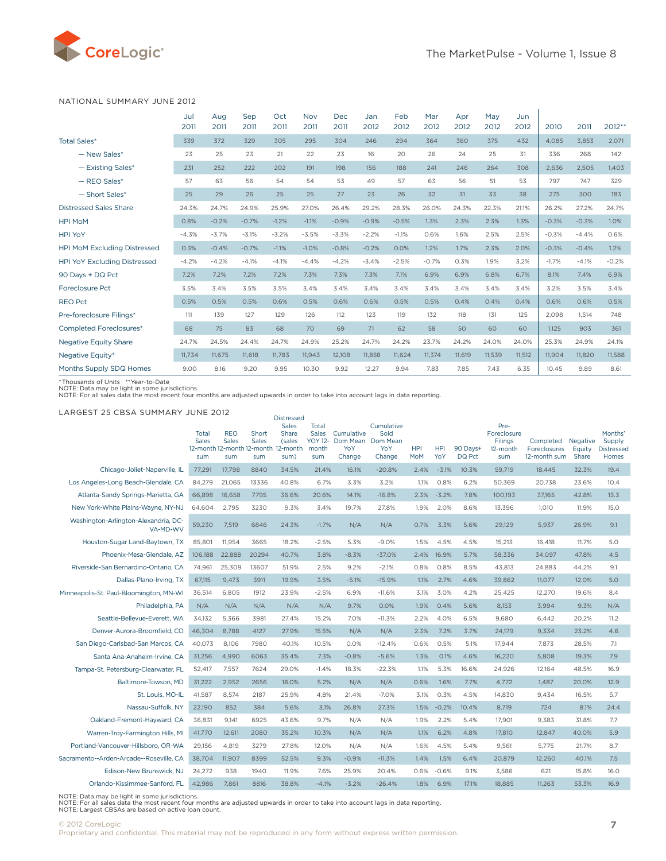<span id="page-6-0"></span>

#### National Summary June 2012

|                                     | Jul<br>2011 | Aug<br>2011 | Sep<br>2011 | Oct<br>2011 | Nov<br>2011 | <b>Dec</b><br>2011 | Jan<br>2012 | Feb<br>2012 | Mar<br>2012 | Apr<br>2012 | May<br>2012 | Jun<br>2012 | 2010    | 2011    | 2012**  |
|-------------------------------------|-------------|-------------|-------------|-------------|-------------|--------------------|-------------|-------------|-------------|-------------|-------------|-------------|---------|---------|---------|
| <b>Total Sales*</b>                 | 339         | 372         | 329         | 305         | 295         | 304                | 246         | 294         | 364         | 360         | 375         | 432         | 4,085   | 3,853   | 2,071   |
| - New Sales*                        | 23          | 25          | 23          | 21          | 22          | 23                 | 16          | 20          | 26          | 24          | 25          | 31          | 336     | 268     | 142     |
| - Existing Sales*                   | 231         | 252         | 222         | 202         | 191         | 198                | 156         | 188         | 241         | 246         | 264         | 308         | 2.636   | 2.505   | 1.403   |
| $-$ REO Sales*                      | 57          | 63          | 56          | 54          | 54          | 53                 | 49          | 57          | 63          | 56          | 51          | 53          | 797     | 747     | 329     |
| - Short Sales*                      | 25          | 29          | 26          | 25          | 25          | 27                 | 23          | 26          | 32          | 31          | 33          | 38          | 275     | 300     | 183     |
| <b>Distressed Sales Share</b>       | 24.3%       | 24.7%       | 24.9%       | 25.9%       | 27.0%       | 26.4%              | 29.2%       | 28.3%       | 26.0%       | 24.3%       | 22.3%       | 21.1%       | 26.2%   | 27.2%   | 24.7%   |
| <b>HPI MoM</b>                      | 0.8%        | $-0.2%$     | $-0.7%$     | $-1.2%$     | $-1.1%$     | $-0.9%$            | $-0.9%$     | $-0.5%$     | 1.3%        | 2.3%        | 2.3%        | 1.3%        | $-0.3%$ | $-0.3%$ | 1.0%    |
| <b>HPI YoY</b>                      | $-4.3%$     | $-3.7%$     | $-3.1%$     | $-3.2%$     | $-3.5%$     | $-3.3%$            | $-2.2%$     | $-1.1%$     | 0.6%        | 1.6%        | 2.5%        | 2.5%        | $-0.3%$ | $-4.4%$ | 0.6%    |
| HPI MoM Excluding Distressed        | 0.3%        | $-0.4%$     | $-0.7%$     | $-1.1%$     | $-1.0%$     | $-0.8%$            | $-0.2%$     | 0.0%        | 1.2%        | 1.7%        | 2.3%        | 2.0%        | $-0.3%$ | $-0.4%$ | 1.2%    |
| <b>HPI YoY Excluding Distressed</b> | $-4.2%$     | $-4.2%$     | $-4.1%$     | $-4.1%$     | $-4.4%$     | $-4.2%$            | $-3.4%$     | $-2.5%$     | $-0.7%$     | 0.3%        | 1.9%        | 3.2%        | $-1.7%$ | $-4.1%$ | $-0.2%$ |
| 90 Days + DQ Pct                    | 7.2%        | 7.2%        | 7.2%        | 7.2%        | 7.3%        | 7.3%               | 7.3%        | 7.1%        | 6.9%        | 6.9%        | 6.8%        | 6.7%        | 8.1%    | 7.4%    | 6.9%    |
| <b>Foreclosure Pct</b>              | 3.5%        | 3.4%        | 3.5%        | 3.5%        | 3.4%        | 3.4%               | 3.4%        | 3.4%        | 3.4%        | 3.4%        | 3.4%        | 3.4%        | 3.2%    | 3.5%    | 3.4%    |
| <b>REO Pct</b>                      | 0.5%        | 0.5%        | 0.5%        | 0.6%        | 0.5%        | 0.6%               | 0.6%        | 0.5%        | 0.5%        | 0.4%        | 0.4%        | 0.4%        | 0.6%    | 0.6%    | 0.5%    |
| Pre-foreclosure Filings*            | 111         | 139         | 127         | 129         | 126         | 112                | 123         | 119         | 132         | 118         | 131         | 125         | 2.098   | 1.514   | 748     |
| <b>Completed Foreclosures*</b>      | 68          | 75          | 83          | 68          | 70          | 69                 | 71          | 62          | 58          | 50          | 60          | 60          | 1.125   | 903     | 361     |
| <b>Negative Equity Share</b>        | 24.7%       | 24.5%       | 24.4%       | 24.7%       | 24.9%       | 25.2%              | 24.7%       | 24.2%       | 23.7%       | 24.2%       | 24.0%       | 24.0%       | 25.3%   | 24.9%   | 24.1%   |
| Negative Equity*                    | 11,734      | 11.675      | 11,618      | 11,783      | 11,943      | 12,108             | 11,858      | 11.624      | 11.374      | 11.619      | 11.539      | 11.512      | 11.904  | 11.820  | 11.588  |
| Months Supply SDQ Homes             | 9.00        | 8.16        | 9.20        | 9.95        | 10.30       | 9.92               | 12.27       | 9.94        | 7.83        | 7.85        | 7.43        | 6.35        | 10.45   | 9.89    | 8.61    |

\*Thousands of Units \*\*Year-to-Date<br>NOTE: Data may be light in some jurisdictions.<br>NOTE: For all sales data the most recent four months are adjusted upwards in order to take into account lags in data reporting.

#### Largest 25 CBSA Summary June 2012

| LARGEST 25 CBSA SUMMARY JUNE 2012                | Total<br><b>Sales</b> | <b>REO</b><br><b>Sales</b> | Short<br><b>Sales</b> | <b>Distressed</b><br><b>Sales</b><br>Share<br>(sales<br>12-month 12-month 12-month 12-month | Total<br><b>Sales</b><br><b>YOY 12-</b><br>month | Cumulative<br>Dom Mean<br>YoY | Cumulative<br>Sold<br>Dom Mean<br>YoY | <b>HPI</b>  | <b>HPI</b>     | 90 Days+        | Pre-<br>Foreclosure<br>Filings<br>12-month | Completed<br><b>Foreclosures</b><br>12-month sum | Negative<br>Equity | Months'<br>Supply<br><b>Distressed</b> |
|--------------------------------------------------|-----------------------|----------------------------|-----------------------|---------------------------------------------------------------------------------------------|--------------------------------------------------|-------------------------------|---------------------------------------|-------------|----------------|-----------------|--------------------------------------------|--------------------------------------------------|--------------------|----------------------------------------|
| Chicago-Joliet-Naperville, IL                    | sum<br>77,291         | sum<br>17,798              | sum<br>8840           | sum)<br>34.5%                                                                               | sum<br>21.4%                                     | Change<br>16.1%               | Change<br>$-20.8%$                    | MoM<br>2.4% | YoY<br>$-3.1%$ | DQ Pct<br>10.3% | sum<br>59,719                              | 18,445                                           | Share<br>32.3%     | Homes<br>19.4                          |
| Los Angeles-Long Beach-Glendale, CA              | 84,279                | 21,065                     | 13336                 | 40.8%                                                                                       | 6.7%                                             | 3.3%                          | 3.2%                                  | 1.1%        | 0.8%           | 6.2%            | 50,369                                     | 20,738                                           | 23.6%              | 10.4                                   |
| Atlanta-Sandy Springs-Marietta, GA               | 66,898                | 16,658                     | 7795                  | 36.6%                                                                                       | 20.6%                                            | 14.1%                         | $-16.8%$                              | 2.3%        | $-3.2%$        | 7.8%            | 100,193                                    | 37,165                                           | 42.8%              | 13.3                                   |
|                                                  | 64,604                | 2,795                      | 3230                  | 9.3%                                                                                        | 3.4%                                             | 19.7%                         | 27.8%                                 | 1.9%        | 2.0%           | 8.6%            | 13,396                                     | 1,010                                            | 11.9%              | 15.0                                   |
| New York-White Plains-Wayne, NY-NJ               |                       |                            |                       |                                                                                             |                                                  |                               |                                       |             |                |                 |                                            |                                                  |                    |                                        |
| Washington-Arlington-Alexandria, DC-<br>VA-MD-WV | 59.230                | 7,519                      | 6846                  | 24.3%                                                                                       | $-1.7%$                                          | N/A                           | N/A                                   | 0.7%        | 3.3%           | 5.6%            | 29,129                                     | 5.937                                            | 26.9%              | 9.1                                    |
| Houston-Sugar Land-Baytown, TX                   | 85,801                | 11,954                     | 3665                  | 18.2%                                                                                       | $-2.5%$                                          | 5.3%                          | $-9.0%$                               | 1.5%        | 4.5%           | 4.5%            | 15,213                                     | 16,418                                           | 11.7%              | 5.0                                    |
| Phoenix-Mesa-Glendale, AZ                        | 106,188               | 22,888                     | 20294                 | 40.7%                                                                                       | 3.8%                                             | $-8.3%$                       | $-37.0%$                              | 2.4%        | 16.9%          | 5.7%            | 58,336                                     | 34,097                                           | 47.8%              | 4.5                                    |
| Riverside-San Bernardino-Ontario, CA             | 74,961                | 25,309                     | 13607                 | 51.9%                                                                                       | 2.5%                                             | 9.2%                          | $-2.1%$                               | 0.8%        | 0.8%           | 8.5%            | 43,813                                     | 24,883                                           | 44.2%              | 9.1                                    |
| Dallas-Plano-Irving, TX                          | 67,115                | 9,473                      | 3911                  | 19.9%                                                                                       | 3.5%                                             | $-5.1%$                       | $-15.9%$                              | 1.1%        | 2.7%           | 4.6%            | 39,862                                     | 11,077                                           | 12.0%              | 5.0                                    |
| Minneapolis-St. Paul-Bloomington, MN-WI          | 36,514                | 6,805                      | 1912                  | 23.9%                                                                                       | $-2.5%$                                          | 6.9%                          | $-11.6%$                              | 3.1%        | 3.0%           | 4.2%            | 25,425                                     | 12,270                                           | 19.6%              | 8.4                                    |
| Philadelphia, PA                                 | N/A                   | N/A                        | N/A                   | N/A                                                                                         | N/A                                              | 9.7%                          | 0.0%                                  | 1.9%        | 0.4%           | 5.6%            | 8,153                                      | 3,994                                            | 9.3%               | N/A                                    |
| Seattle-Bellevue-Everett, WA                     | 34,132                | 5,366                      | 3981                  | 27.4%                                                                                       | 15.2%                                            | 7.0%                          | $-11.3%$                              | 2.2%        | 4.0%           | 6.5%            | 9,680                                      | 6,442                                            | 20.2%              | 11.2                                   |
| Denver-Aurora-Broomfield, CO                     | 46,304                | 8,788                      | 4127                  | 27.9%                                                                                       | 15.5%                                            | N/A                           | N/A                                   | 2.3%        | 7.2%           | 3.7%            | 24,179                                     | 9,334                                            | 23.2%              | 4.6                                    |
| San Diego-Carlsbad-San Marcos, CA                | 40,073                | 8,106                      | 7980                  | 40.1%                                                                                       | 10.5%                                            | 0.0%                          | $-12.4%$                              | 0.6%        | 0.5%           | 5.1%            | 17,944                                     | 7,873                                            | 28.5%              | 7.1                                    |
| Santa Ana-Anaheim-Irvine, CA                     | 31,256                | 4,990                      | 6063                  | 35.4%                                                                                       | 7.3%                                             | $-0.8%$                       | $-5.6%$                               | 1.3%        | 0.1%           | 4.6%            | 16,220                                     | 5,808                                            | 19.3%              | 7.9                                    |
| Tampa-St. Petersburg-Clearwater, FL              | 52,417                | 7,557                      | 7624                  | 29.0%                                                                                       | $-1.4%$                                          | 18.3%                         | $-22.3%$                              | 1.1%        | 5.3%           | 16.6%           | 24,926                                     | 12,164                                           | 48.5%              | 16.9                                   |
| Baltimore-Towson, MD                             | 31,222                | 2.952                      | 2656                  | 18.0%                                                                                       | 5.2%                                             | N/A                           | N/A                                   | 0.6%        | 1.6%           | 7.7%            | 4,772                                      | 1.487                                            | 20.0%              | 12.9                                   |
| St. Louis, MO-IL                                 | 41,587                | 8,574                      | 2187                  | 25.9%                                                                                       | 4.8%                                             | 21.4%                         | $-7.0%$                               | 3.1%        | 0.3%           | 4.5%            | 14,830                                     | 9,434                                            | 16.5%              | 5.7                                    |
| Nassau-Suffolk, NY                               | 22.190                | 852                        | 384                   | 5.6%                                                                                        | 3.1%                                             | 26.8%                         | 27.3%                                 | 1.5%        | $-0.2%$        | 10.4%           | 8,719                                      | 724                                              | 8.1%               | 24.4                                   |
| Oakland-Fremont-Hayward, CA                      | 36,831                | 9,141                      | 6925                  | 43.6%                                                                                       | 9.7%                                             | N/A                           | N/A                                   | 1.9%        | 2.2%           | 5.4%            | 17,901                                     | 9.383                                            | 31.8%              | 7.7                                    |
| Warren-Troy-Farmington Hills, MI                 | 41,770                | 12,611                     | 2080                  | 35.2%                                                                                       | 10.3%                                            | N/A                           | N/A                                   | 1.1%        | 6.2%           | 4.8%            | 17,810                                     | 12.847                                           | 40.0%              | 5.9                                    |
| Portland-Vancouver-Hillsboro, OR-WA              | 29,156                | 4,819                      | 3279                  | 27.8%                                                                                       | 12.0%                                            | N/A                           | N/A                                   | 1.6%        | 4.5%           | 5.4%            | 9,561                                      | 5,775                                            | 21.7%              | 8.7                                    |
| Sacramento--Arden-Arcade--Roseville, CA          | 38,704                | 11,907                     | 8399                  | 52.5%                                                                                       | 9.3%                                             | $-0.9%$                       | $-11.3%$                              | 1.4%        | 1.5%           | 6.4%            | 20,879                                     | 12,260                                           | 40.1%              | 7.5                                    |
| Edison-New Brunswick, NJ                         | 24,272                | 938                        | 1940                  | 11.9%                                                                                       | 7.6%                                             | 25.9%                         | 20.4%                                 | 0.6%        | $-0.6%$        | 9.1%            | 3,586                                      | 621                                              | 15.8%              | 16.0                                   |
| Orlando-Kissimmee-Sanford, FL                    | 42,986                | 7,861                      | 8816                  | 38.8%                                                                                       | $-4.1%$                                          | $-3.2%$                       | $-26.4%$                              | 1.8%        | 6.9%           | 17.1%           | 18,885                                     | 11,263                                           | 53.3%              | 16.9                                   |
|                                                  |                       |                            |                       |                                                                                             |                                                  |                               |                                       |             |                |                 |                                            |                                                  |                    |                                        |

NOTE: Data may be light in some jurisdictions.<br>NOTE: For all sales data the most recent four months are adjusted upwards in order to take into account lags in data reporting.<br>NOTE: Largest CBSAs are based on active loan co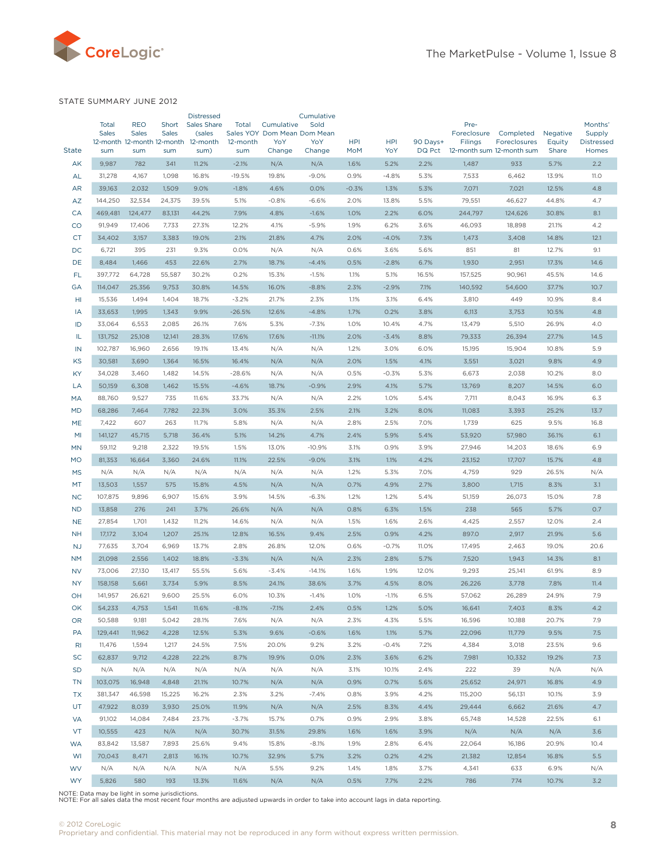<span id="page-7-0"></span>

#### State Summary June 2012

| <b>State</b>    | <b>Total</b><br><b>Sales</b><br>sum | <b>REO</b><br><b>Sales</b> | Short<br><b>Sales</b> | <b>Distressed</b><br><b>Sales Share</b><br>(sales<br>12-month 12-month 12-month 12-month | Total<br>12-month   | Cumulative<br>Sales YOY Dom Mean Dom Mean<br>YoY | Cumulative<br>Sold<br>YoY | <b>HPI</b>   | <b>HPI</b>      | 90 Days+<br>DQ Pct | Pre-<br>Foreclosure<br>Filings<br>12-month sum 12-month sum | Completed<br>Foreclosures | Negative<br>Equity<br>Share | Months'<br>Supply<br><b>Distressed</b> |
|-----------------|-------------------------------------|----------------------------|-----------------------|------------------------------------------------------------------------------------------|---------------------|--------------------------------------------------|---------------------------|--------------|-----------------|--------------------|-------------------------------------------------------------|---------------------------|-----------------------------|----------------------------------------|
|                 |                                     | sum                        | sum                   | sum)                                                                                     | sum                 | Change                                           | Change                    | <b>MoM</b>   | YoY             |                    |                                                             |                           |                             | Homes                                  |
| AK              | 9,987                               | 782                        | 341<br>1,098          | 11.2%<br>16.8%                                                                           | $-2.1%$             | N/A<br>19.8%                                     | N/A                       | 1.6%<br>0.9% | 5.2%<br>$-4.8%$ | 2.2%<br>5.3%       | 1,487                                                       | 933<br>6,462              | 5.7%                        | 2.2<br><b>11.0</b>                     |
| AL<br><b>AR</b> | 31,278<br>39,163                    | 4,167<br>2,032             | 1,509                 | 9.0%                                                                                     | $-19.5%$<br>$-1.8%$ | 4.6%                                             | $-9.0%$<br>0.0%           | $-0.3%$      | 1.3%            | 5.3%               | 7,533<br>7,071                                              | 7,021                     | 13.9%<br>12.5%              | 4.8                                    |
| AZ              | 144,250                             | 32,534                     | 24,375                | 39.5%                                                                                    | 5.1%                | $-0.8%$                                          | $-6.6%$                   | 2.0%         | 13.8%           | 5.5%               | 79,551                                                      | 46,627                    | 44.8%                       | 4.7                                    |
| CA              | 469,481                             | 124,477                    | 83,131                | 44.2%                                                                                    | 7.9%                | 4.8%                                             | $-1.6%$                   | 1.0%         | 2.2%            | 6.0%               | 244,797                                                     | 124,626                   | 30.8%                       | 8.1                                    |
| CO              | 91,949                              | 17,406                     | 7,733                 | 27.3%                                                                                    | 12.2%               | 4.1%                                             | $-5.9%$                   | 1.9%         | 6.2%            | 3.6%               | 46,093                                                      | 18,898                    | 21.1%                       | 4.2                                    |
| <b>CT</b>       | 34,402                              | 3,157                      | 3,383                 | 19.0%                                                                                    | 2.1%                | 21.8%                                            | 4.7%                      | 2.0%         | $-4.0%$         | 7.3%               | 1,473                                                       | 3,408                     | 14.8%                       | 12.1                                   |
| DC              | 6,721                               | 395                        | 231                   | 9.3%                                                                                     | 0.0%                | N/A                                              | N/A                       | 0.6%         | 3.6%            | 5.6%               | 851                                                         | 81                        | 12.7%                       | 9.1                                    |
| DE              | 8,484                               | 1,466                      | 453                   | 22.6%                                                                                    | 2.7%                | 18.7%                                            | $-4.4%$                   | 0.5%         | $-2.8%$         | 6.7%               | 1,930                                                       | 2,951                     | 17.3%                       | 14.6                                   |
| FL              | 397,772                             | 64,728                     | 55,587                | 30.2%                                                                                    | 0.2%                | 15.3%                                            | $-1.5%$                   | 1.1%         | 5.1%            | 16.5%              | 157,525                                                     | 90,961                    | 45.5%                       | 14.6                                   |
| GA              | 114,047                             | 25,356                     | 9,753                 | 30.8%                                                                                    | 14.5%               | 16.0%                                            | $-8.8%$                   | 2.3%         | $-2.9%$         | 7.1%               | 140,592                                                     | 54,600                    | 37.7%                       | 10.7                                   |
| HI              | 15,536                              | 1,494                      | 1,404                 | 18.7%                                                                                    | $-3.2%$             | 21.7%                                            | 2.3%                      | 1.1%         | 3.1%            | 6.4%               | 3,810                                                       | 449                       | 10.9%                       | 8.4                                    |
| IA              | 33,653                              | 1,995                      | 1,343                 | 9.9%                                                                                     | $-26.5%$            | 12.6%                                            | $-4.8%$                   | 1.7%         | 0.2%            | 3.8%               | 6,113                                                       | 3,753                     | 10.5%                       | 4.8                                    |
| ID              | 33,064                              | 6,553                      | 2,085                 | 26.1%                                                                                    | 7.6%                | 5.3%                                             | $-7.3%$                   | 1.0%         | 10.4%           | 4.7%               | 13,479                                                      | 5,510                     | 26.9%                       | 4.0                                    |
| IL              | 131,752                             | 25,108                     | 12,141                | 28.3%                                                                                    | 17.6%               | 17.6%                                            | $-11.1%$                  | 2.0%         | $-3.4%$         | 8.8%               | 79,333                                                      | 26,394                    | 27.7%                       | 14.5                                   |
| IN              | 102,787                             | 16,960                     | 2,656                 | 19.1%                                                                                    | 13.4%               | N/A                                              | N/A                       | 1.2%         | 3.0%            | 6.0%               | 15,195                                                      | 15,904                    | 10.8%                       | 5.9                                    |
| KS              | 30,581                              | 3,690                      | 1,364                 | 16.5%                                                                                    | 16.4%               | N/A                                              | N/A                       | 2.0%         | 1.5%            | 4.1%               | 3,551                                                       | 3,021                     | 9.8%                        | 4.9                                    |
| KY              | 34,028                              | 3,460                      | 1,482                 | 14.5%                                                                                    | $-28.6%$            | N/A                                              | N/A                       | 0.5%         | $-0.3%$         | 5.3%               | 6,673                                                       | 2,038                     | 10.2%                       | 8.0                                    |
| LA              | 50,159                              | 6,308                      | 1,462                 | 15.5%                                                                                    | $-4.6%$             | 18.7%                                            | $-0.9%$                   | 2.9%         | 4.1%            | 5.7%               | 13,769                                                      | 8,207                     | 14.5%                       | 6.0                                    |
| <b>MA</b>       | 88,760                              | 9,527                      | 735                   | 11.6%                                                                                    | 33.7%               | N/A                                              | N/A                       | 2.2%         | 1.0%            | 5.4%               | 7,711                                                       | 8,043                     | 16.9%                       | 6.3                                    |
| <b>MD</b>       | 68,286                              | 7,464                      | 7,782                 | 22.3%                                                                                    | 3.0%                | 35.3%                                            | 2.5%                      | 2.1%         | 3.2%            | 8.0%               | 11,083                                                      | 3,393                     | 25.2%                       | 13.7                                   |
| <b>ME</b>       | 7,422                               | 607                        | 263                   | 11.7%                                                                                    | 5.8%                | N/A                                              | N/A                       | 2.8%         | 2.5%            | 7.0%               | 1,739                                                       | 625                       | 9.5%                        | 16.8                                   |
| M <sub>l</sub>  | 141,127                             | 45,715                     | 5,718                 | 36.4%                                                                                    | 5.1%                | 14.2%                                            | 4.7%                      | 2.4%         | 5.9%            | 5.4%               | 53,920                                                      | 57,980                    | 36.1%                       | 6.1                                    |
| <b>MN</b>       | 59,112                              | 9,218                      | 2,322                 | 19.5%                                                                                    | 1.5%                | 13.0%                                            | $-10.9%$                  | 3.1%         | 0.9%            | 3.9%               | 27,946                                                      | 14,203                    | 18.6%                       | 6.9                                    |
| <b>MO</b>       | 81,353                              | 16,664                     | 3,360                 | 24.6%                                                                                    | 11.1%               | 22.5%                                            | $-9.0%$                   | 3.1%         | 1.1%            | 4.2%               | 23,152                                                      | 17,707                    | 15.7%                       | 4.8                                    |
| <b>MS</b>       | N/A                                 | N/A                        | N/A                   | N/A                                                                                      | N/A                 | N/A                                              | N/A                       | 1.2%         | 5.3%            | 7.0%               | 4,759                                                       | 929                       | 26.5%                       | N/A                                    |
| MT              | 13,503                              | 1,557                      | 575                   | 15.8%                                                                                    | 4.5%                | N/A                                              | N/A                       | 0.7%         | 4.9%            | 2.7%               | 3,800                                                       | 1,715                     | 8.3%                        | 3.1                                    |
| <b>NC</b>       | 107,875                             | 9,896                      | 6,907                 | 15.6%                                                                                    | 3.9%                | 14.5%                                            | $-6.3%$                   | 1.2%         | 1.2%            | 5.4%               | 51,159                                                      | 26,073                    | 15.0%                       | 7.8                                    |
| <b>ND</b>       | 13,858                              | 276                        | 241                   | 3.7%                                                                                     | 26.6%               | N/A                                              | N/A                       | 0.8%         | 6.3%            | 1.5%               | 238                                                         | 565                       | 5.7%                        | 0.7                                    |
| <b>NE</b>       | 27,854                              | 1,701                      | 1,432                 | 11.2%                                                                                    | 14.6%               | N/A                                              | N/A                       | 1.5%         | 1.6%            | 2.6%               | 4,425                                                       | 2,557                     | 12.0%                       | 2.4                                    |
| <b>NH</b>       | 17,172                              | 3,104                      | 1,207                 | 25.1%                                                                                    | 12.8%               | 16.5%                                            | 9.4%                      | 2.5%         | 0.9%            | 4.2%               | 897.0                                                       | 2,917                     | 21.9%                       | 5.6                                    |
| <b>NJ</b>       | 77,635                              | 3,704                      | 6,969                 | 13.7%                                                                                    | 2.8%                | 26.8%                                            | 12.0%                     | 0.6%         | $-0.7%$         | <b>11.0%</b>       | 17,495                                                      | 2,463                     | 19.0%                       | 20.6                                   |
| <b>NM</b>       | 21,098                              | 2,556                      | 1,402                 | 18.8%                                                                                    | $-3.3%$             | N/A                                              | N/A                       | 2.3%         | 2.8%            | 5.7%               | 7,520                                                       | 1,943                     | 14.3%                       | 8.1                                    |
| <b>NV</b>       | 73,006                              | 27,130                     | 13,417                | 55.5%                                                                                    | 5.6%                | $-3.4%$                                          | $-14.1%$                  | 1.6%         | 1.9%            | 12.0%              | 9,293                                                       | 25,141                    | 61.9%                       | 8.9                                    |
| <b>NY</b>       | 158,158                             | 5,661                      | 3,734                 | 5.9%                                                                                     | 8.5%                | 24.1%                                            | 38.6%                     | 3.7%         | 4.5%            | 8.0%               | 26,226                                                      | 3,778                     | 7.8%                        | 11.4                                   |
| OН              | 141,957                             | 26,621                     | 9,600                 | 25.5%                                                                                    | 6.0%                | 10.3%                                            | $-1.4%$                   | $1.0\%$      | $-1.1%$         | 6.5%               | 57,062                                                      | 26,289                    | 24.9%                       | 7.9                                    |
| OK              | 54,233                              | 4,753                      | 1,541                 | 11.6%                                                                                    | $-8.1%$             | $-7.1%$                                          | 2.4%                      | 0.5%         | 1.2%            | 5.0%               | 16,641                                                      | 7,403                     | 8.3%                        | 4.2                                    |
| <b>OR</b>       | 50,588                              | 9,181                      | 5,042                 | 28.1%                                                                                    | 7.6%                | N/A                                              | N/A                       | 2.3%         | 4.3%            | 5.5%               | 16,596                                                      | 10,188                    | 20.7%                       | 7.9                                    |
| PA              | 129,441                             | 11,962                     | 4,228                 | 12.5%                                                                                    | 5.3%                | 9.6%                                             | $-0.6%$                   | 1.6%         | 1.1%            | 5.7%               | 22,096                                                      | 11,779                    | 9.5%                        | 7.5                                    |
| R <sub>l</sub>  | 11,476                              | 1,594                      | 1,217                 | 24.5%                                                                                    | 7.5%                | 20.0%<br>19.9%                                   | 9.2%<br>0.0%              | 3.2%         | $-0.4%$<br>3.6% | 7.2%               | 4,384                                                       | 3,018                     | 23.5%                       | 9.6                                    |
| SC<br><b>SD</b> | 62,837<br>N/A                       | 9,712                      | 4,228                 | 22.2%                                                                                    | 8.7%                |                                                  |                           | 2.3%         |                 | 6.2%               | 7,981                                                       | 10,332                    | 19.2%                       | 7.3                                    |
| <b>TN</b>       | 103,075                             | N/A<br>16,948              | N/A<br>4,848          | N/A<br>21.1%                                                                             | N/A<br>10.7%        | N/A<br>N/A                                       | N/A<br>N/A                | 3.1%<br>0.9% | 10.1%<br>0.7%   | 2.4%<br>5.6%       | 222<br>25,652                                               | 39<br>24,971              | N/A<br>16.8%                | N/A<br>4.9                             |
|                 | 381,347                             | 46,598                     | 15,225                | 16.2%                                                                                    | 2.3%                | 3.2%                                             | $-7.4%$                   | 0.8%         | 3.9%            | 4.2%               | 115,200                                                     |                           | 10.1%                       | 3.9                                    |
| TX<br>UT        | 47,922                              | 8,039                      | 3,930                 | 25.0%                                                                                    | 11.9%               | N/A                                              | N/A                       | 2.5%         | 8.3%            | 4.4%               | 29,444                                                      | 56,131<br>6,662           | 21.6%                       | 4.7                                    |
| VA              | 91,102                              | 14,084                     | 7,484                 | 23.7%                                                                                    | $-3.7%$             | 15.7%                                            | 0.7%                      | 0.9%         | 2.9%            | 3.8%               | 65,748                                                      | 14,528                    | 22.5%                       | 6.1                                    |
| VT              | 10,555                              | 423                        | N/A                   | N/A                                                                                      | 30.7%               | 31.5%                                            | 29.8%                     | 1.6%         | 1.6%            | 3.9%               | N/A                                                         | N/A                       | N/A                         | 3.6                                    |
| <b>WA</b>       | 83,842                              | 13,587                     | 7,893                 | 25.6%                                                                                    | 9.4%                | 15.8%                                            | $-8.1%$                   | 1.9%         | 2.8%            | 6.4%               | 22,064                                                      | 16,186                    | 20.9%                       | 10.4                                   |
| WI              | 70,043                              | 8,471                      | 2,813                 | 16.1%                                                                                    | 10.7%               | 32.9%                                            | 5.7%                      | 3.2%         | 0.2%            | 4.2%               | 21,382                                                      | 12,854                    | 16.8%                       | 5.5                                    |
| <b>WV</b>       | N/A                                 | N/A                        | N/A                   | N/A                                                                                      | N/A                 | 5.5%                                             | 9.2%                      | 1.4%         | 1.8%            | 3.7%               | 4,341                                                       | 633                       | 6.9%                        | N/A                                    |
| <b>WY</b>       | 5,826                               | 580                        | 193                   | 13.3%                                                                                    | 11.6%               | N/A                                              | N/A                       | 0.5%         | 7.7%            | 2.2%               | 786                                                         | 774                       | 10.7%                       | $3.2\,$                                |

NOTE: Data may be light in some jurisdictions. NOTE: For all sales data the most recent four months are adjusted upwards in order to take into account lags in data reporting.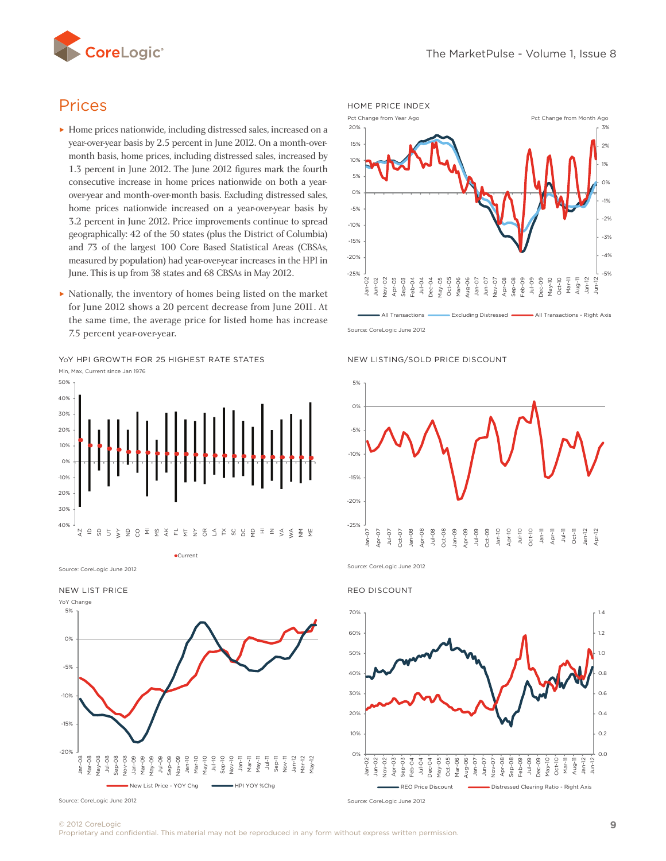<span id="page-8-0"></span>

# Prices

- ► Home prices nationwide, including distressed sales, increased on a year-over-year basis by 2.5 percent in June 2012. On a month-overmonth basis, home prices, including distressed sales, increased by 1.3 percent in June 2012. The June 2012 figures mark the fourth consecutive increase in home prices nationwide on both a yearover-year and month-over-month basis. Excluding distressed sales, home prices nationwide increased on a year-over-year basis by 3.2 percent in June 2012. Price improvements continue to spread geographically: 42 of the 50 states (plus the District of Columbia) geographically: 42 of the 50 states (plus the District of Columbia)<br>and 73 of the largest 100 Core Based Statistical Areas (CBSAs, measured by population) had year-over-year increases in the HPI in
- ► Nationally, the inventory of homes being listed on the market for June 2012 shows a 20 percent decrease from June 2011. At the same time, the average price for listed home has increase 7.5 percent year-over-year.

YoY HPI GROWTH FOR 25 HIGHEST RATE STATES



Current

Source: CoreLogic June 2012

New List Price







Source: CoreLogic June 2012





Source: CoreLogic June 2012

REO Discount



Source: CoreLogic June 2012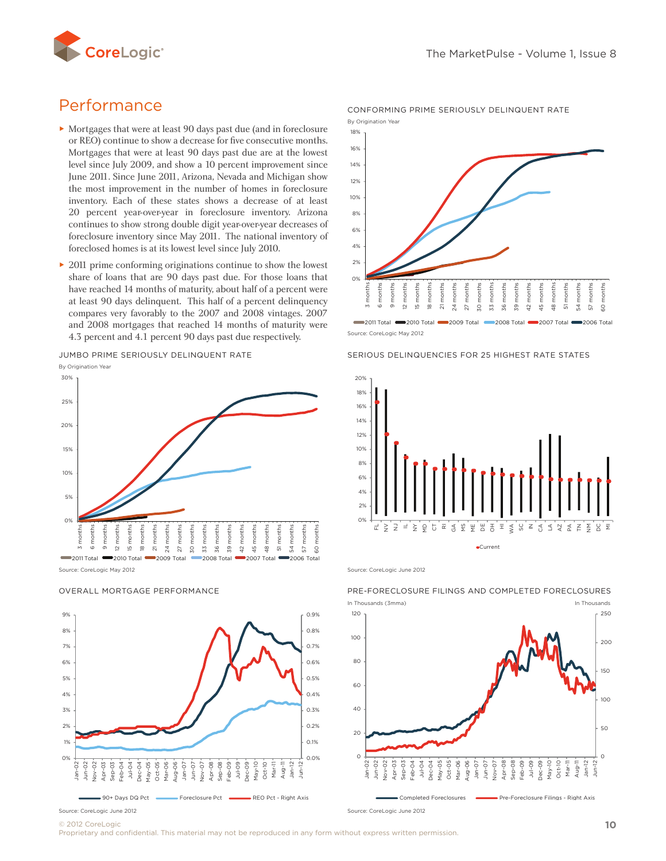

# Performance

- ► Mortgages that were at least 90 days past due (and in foreclosure or REO) continue to show a decrease for five consecutive months. Mortgages that were at least 90 days past due are at the lowest level since July 2009, and show a 10 percent improvement since June 2011. Since June 2011, Arizona, Nevada and Michigan show the most improvement in the number of homes in foreclosure inventory. Each of these states shows a decrease of at least 20 percent year-over-year in foreclosure inventory. Arizona continues to show strong double digit year-over-year decreases of foreclosure inventory since May 2011. The national inventory of foreclosed homes is at its lowest level since July 2010.<br>2011 prime conforming originations continue to show
- ► 2011 prime conforming originations continue to show the lowest share of loans that are 90 days past due. For those loans that share of foans that are 90 days past due. For those foans that  $\frac{1}{2}$  where reached 14 months of maturity, about half of a percent were  $\frac{1}{2}$  and  $\frac{1}{2}$  and  $\frac{1}{2}$  and  $\frac{1}{2}$  and  $\frac{1}{2}$  and  $\frac{1}{2}$  an at least 90 days delinquent. This half of a percent delinquency compares very favorably to the 2007 and 2008 vintages. 2007 and 2008 mortgages that reached 14 months of maturity were 4.3 percent and 4.1 percent 90 days past due respectively.

Jumbo Prime Seriously Delinquent Rate

By Origination Year



Source: CoreLogic May 2012



#### OVERALL MORTGAGE PERFORMANCE



Conforming Prime Seriously Delinquent Rate

Source: CoreLogic May 2012 2011 Total 2010 Total 2009 Total 2008 Total 2007 Total 2006 Total

#### SERIOUS DELINQUENCIES FOR 25 HIGHEST RATE STATES



Source: CoreLogic June 2012



### Pre-Foreclosure Filings And Completed Foreclosures

© 2012 CoreLogic

Proprietary and confidential. This material may not be reproduced in any form without express written permission.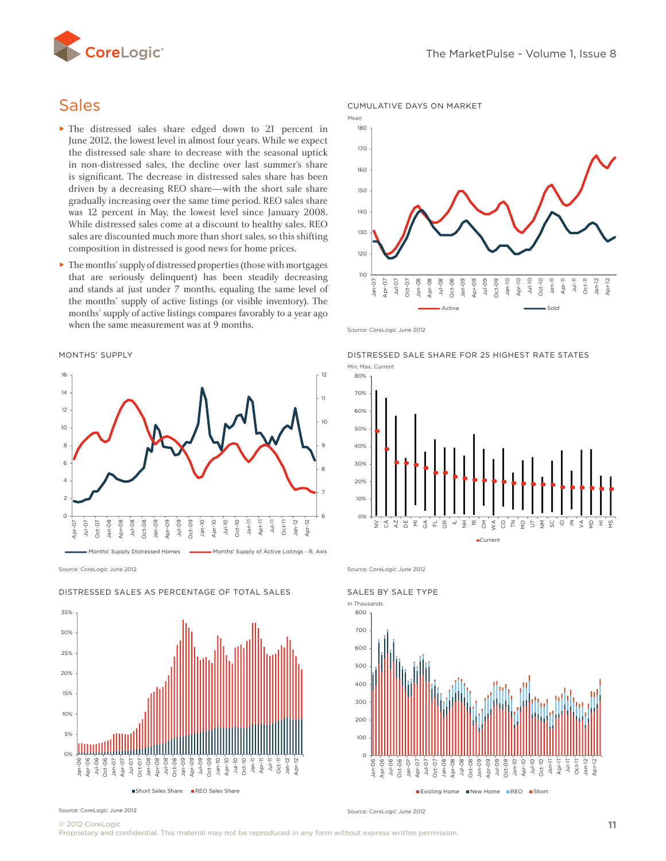

# **Sales**

- ► The distressed sales share edged down to 21 percent in June 2012, the lowest level in almost four years. While we expect the distressed sale share to decrease with the seasonal uptick in non-distressed sales, the decline over last summer's share is significant. The decrease in distressed sales share has been driven by a decreasing REO share—with the short sale share gradually increasing over the same time period. REO sales share was 12 percent in May, the lowest level since January 2008. While distressed sales come at a discount to healthy sales, REO was 12 percent in may, the lowest lever since January 2006.<br>While distressed sales come at a discount to healthy sales, REO<br>sales are discounted much more than short sales, so this shifting composition in distressed is good news for home prices.
- that are seriously delinquent) has been steadily decreasing and stands at just under 7 months, equaling the same level of the months' supply of active listings (or visible inventory). The months' supply of active listings compares favorably to a year ago when the same measurement was at 9 months.

Months' Supply



Source: CoreLogic June 2012



#### Distressed Sales as Percentage of Total sales





Source: CoreLogic June 2012

Distressed Sale Share for 25 Highest Rate States



Source: CoreLogic June 2012



Source: CoreLogic June 2012

© 2012 CoreLogic